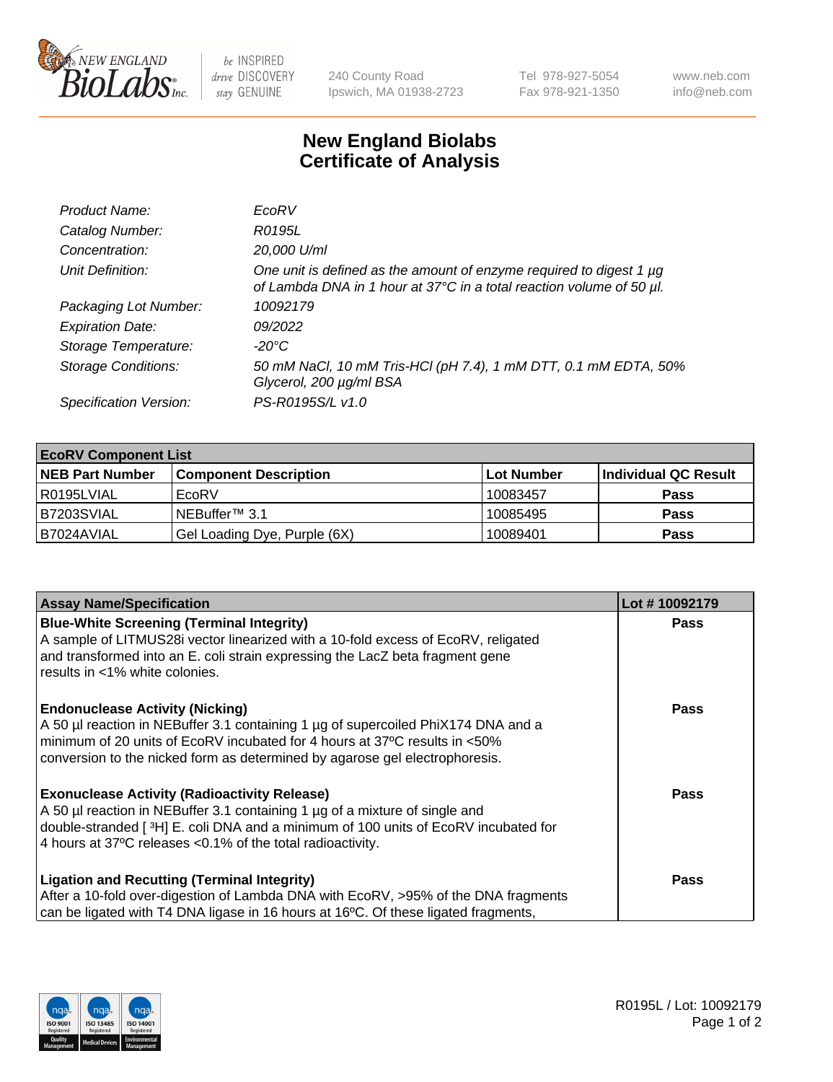

 $be$  INSPIRED drive DISCOVERY stay GENUINE

240 County Road Ipswich, MA 01938-2723 Tel 978-927-5054 Fax 978-921-1350 www.neb.com info@neb.com

## **New England Biolabs Certificate of Analysis**

| Product Name:              | EcoRV                                                                                                                                       |
|----------------------------|---------------------------------------------------------------------------------------------------------------------------------------------|
| Catalog Number:            | R0195L                                                                                                                                      |
| Concentration:             | 20,000 U/ml                                                                                                                                 |
| Unit Definition:           | One unit is defined as the amount of enzyme required to digest 1 µg<br>of Lambda DNA in 1 hour at 37°C in a total reaction volume of 50 µl. |
| Packaging Lot Number:      | 10092179                                                                                                                                    |
| <b>Expiration Date:</b>    | 09/2022                                                                                                                                     |
| Storage Temperature:       | $-20^{\circ}$ C                                                                                                                             |
| <b>Storage Conditions:</b> | 50 mM NaCl, 10 mM Tris-HCl (pH 7.4), 1 mM DTT, 0.1 mM EDTA, 50%<br>Glycerol, 200 µg/ml BSA                                                  |
| Specification Version:     | PS-R0195S/L v1.0                                                                                                                            |

| <b>EcoRV Component List</b> |                              |            |                      |  |  |
|-----------------------------|------------------------------|------------|----------------------|--|--|
| <b>NEB Part Number</b>      | <b>Component Description</b> | Lot Number | Individual QC Result |  |  |
| l R0195LVIAL                | EcoRV                        | 10083457   | <b>Pass</b>          |  |  |
| B7203SVIAL                  | INEBuffer™ 3.1               | 10085495   | <b>Pass</b>          |  |  |
| B7024AVIAL                  | Gel Loading Dye, Purple (6X) | 10089401   | <b>Pass</b>          |  |  |

| <b>Assay Name/Specification</b>                                                                                                                           | Lot #10092179 |
|-----------------------------------------------------------------------------------------------------------------------------------------------------------|---------------|
| <b>Blue-White Screening (Terminal Integrity)</b>                                                                                                          | <b>Pass</b>   |
| A sample of LITMUS28i vector linearized with a 10-fold excess of EcoRV, religated                                                                         |               |
| and transformed into an E. coli strain expressing the LacZ beta fragment gene<br>l results in <1% white colonies.                                         |               |
|                                                                                                                                                           |               |
| <b>Endonuclease Activity (Nicking)</b>                                                                                                                    | <b>Pass</b>   |
| A 50 µl reaction in NEBuffer 3.1 containing 1 µg of supercoiled PhiX174 DNA and a                                                                         |               |
| minimum of 20 units of EcoRV incubated for 4 hours at 37°C results in <50%<br>conversion to the nicked form as determined by agarose gel electrophoresis. |               |
|                                                                                                                                                           |               |
| <b>Exonuclease Activity (Radioactivity Release)</b>                                                                                                       | Pass          |
| A 50 µl reaction in NEBuffer 3.1 containing 1 µg of a mixture of single and                                                                               |               |
| double-stranded [ <sup>3</sup> H] E. coli DNA and a minimum of 100 units of EcoRV incubated for                                                           |               |
| 4 hours at 37°C releases < 0.1% of the total radioactivity.                                                                                               |               |
| <b>Ligation and Recutting (Terminal Integrity)</b>                                                                                                        | <b>Pass</b>   |
| After a 10-fold over-digestion of Lambda DNA with EcoRV, >95% of the DNA fragments                                                                        |               |
| can be ligated with T4 DNA ligase in 16 hours at 16 <sup>o</sup> C. Of these ligated fragments,                                                           |               |